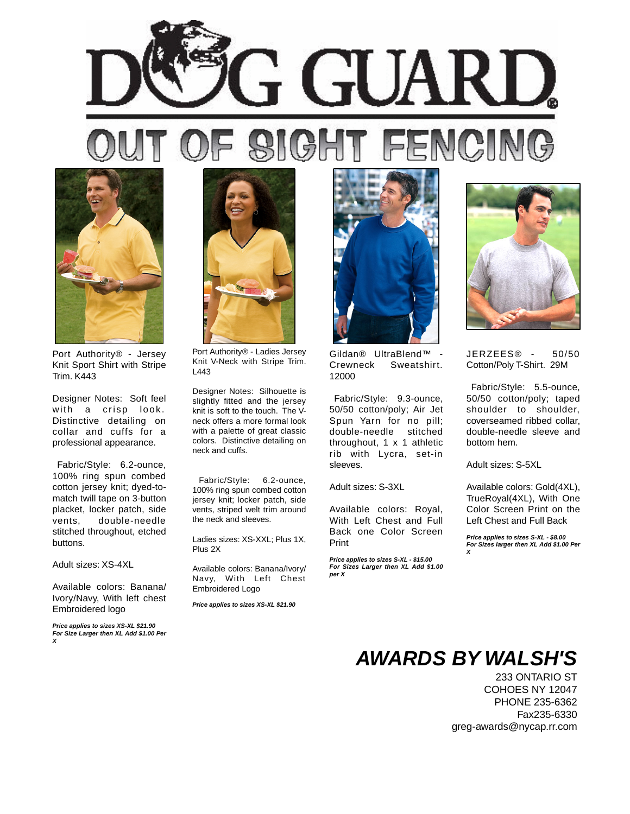



Port Authority® - Jersey Knit Sport Shirt with Stripe Trim. K443

Designer Notes: Soft feel with a crisp look. Distinctive detailing on collar and cuffs for a professional appearance.

 Fabric/Style: 6.2-ounce, 100% ring spun combed cotton jersey knit; dyed-tomatch twill tape on 3-button placket, locker patch, side vents, double-needle stitched throughout, etched buttons.

Adult sizes: XS-4XL

Available colors: Banana/ Ivory/Navy, With left chest Embroidered logo

**Price applies to sizes XS-XL \$21.90 For Size Larger then XL Add \$1.00 Per X**



Port Authority® - Ladies Jersey Knit V-Neck with Stripe Trim. L443

Designer Notes: Silhouette is slightly fitted and the jersey knit is soft to the touch. The Vneck offers a more formal look with a palette of great classic colors. Distinctive detailing on neck and cuffs.

 Fabric/Style: 6.2-ounce, 100% ring spun combed cotton jersey knit; locker patch, side vents, striped welt trim around the neck and sleeves.

Ladies sizes: XS-XXL; Plus 1X, Plus 2X

Available colors: Banana/Ivory/ Navy, With Left Chest Embroidered Logo

**Price applies to sizes XS-XL \$21.90**



Gildan® UltraBlend™ - Crewneck Sweatshirt. 12000

 Fabric/Style: 9.3-ounce, 50/50 cotton/poly; Air Jet Spun Yarn for no pill; double-needle stitched throughout, 1 x 1 athletic rib with Lycra, set-in sleeves.

Adult sizes: S-3XL

Available colors: Royal, With Left Chest and Full Back one Color Screen Print

**Price applies to sizes S-XL - \$15.00 For Sizes Larger then XL Add \$1.00 per X**



JERZEES® - 50/50 Cotton/Poly T-Shirt. 29M

 Fabric/Style: 5.5-ounce, 50/50 cotton/poly; taped shoulder to shoulder, coverseamed ribbed collar, double-needle sleeve and bottom hem.

Adult sizes: S-5XL

Available colors: Gold(4XL), TrueRoyal(4XL), With One Color Screen Print on the Left Chest and Full Back

**Price applies to sizes S-XL - \$8.00 For Sizes larger then XL Add \$1.00 Per X**

## **AWARDS BY WALSH'S**

233 ONTARIO ST COHOES NY 12047 PHONE 235-6362 Fax235-6330 greg-awards@nycap.rr.com